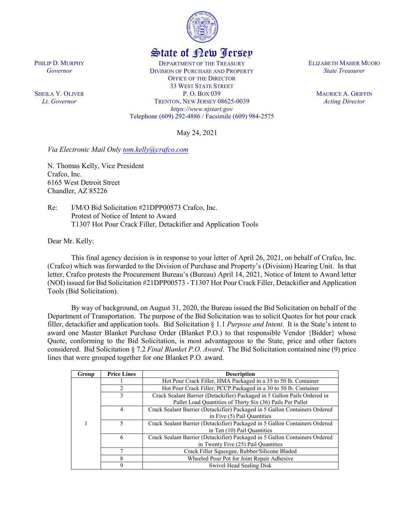

## State of New Jersey

DEPARTMENT OF THE TREASURY DIVISION OF PURCHASE AND PROPERTY OFFICE OF THE DIRECTOR 33 WEST STATE STREET P. O. BOX 039 TRENTON, NEW JERSEY 08625-0039 *https://www.njstart.gov* Telephone (609) 292-4886 / Facsimile (609) 984-2575

May 24, 2021

*Via Electronic Mail Only [tom.kelly@crafco.com](mailto:tom.kelly@crafco.com)*

N. Thomas Kelly, Vice President Crafco, Inc. 6165 West Detroit Street Chandler, AZ 85226

Re: I/M/O Bid Solicitation #21DPP00573 Crafco, Inc. Protest of Notice of Intent to Award T1307 Hot Pour Crack Filler, Detackifier and Application Tools

Dear Mr. Kelly:

This final agency decision is in response to your letter of April 26, 2021, on behalf of Crafco, Inc. (Crafco) which was forwarded to the Division of Purchase and Property's (Division) Hearing Unit. In that letter, Crafco protests the Procurement Bureau's (Bureau) April 14, 2021, Notice of Intent to Award letter (NOI) issued for Bid Solicitation #21DPP00573 - T1307 Hot Pour Crack Filler, Detackifier and Application Tools (Bid Solicitation).

By way of background, on August 31, 2020, the Bureau issued the Bid Solicitation on behalf of the Department of Transportation. The purpose of the Bid Solicitation was to solicit Quotes for hot pour crack filler, detackifier and application tools. Bid Solicitation § 1.1 *Purpose and Intent*. It is the State's intent to award one Master Blanket Purchase Order (Blanket P.O.) to that responsible Vendor {Bidder} whose Quote, conforming to the Bid Solicitation, is most advantageous to the State, price and other factors considered. Bid Solicitation § 7.2 *Final Blanket P.O. Award*. The Bid Solicitation contained nine (9) price lines that were grouped together for one Blanket P.O. award.

| Group | <b>Price Lines</b> | <b>Description</b>                                                          |  |  |  |  |  |
|-------|--------------------|-----------------------------------------------------------------------------|--|--|--|--|--|
|       |                    | Hot Pour Crack Filler, HMA Packaged in a 35 to 50 lb. Container             |  |  |  |  |  |
|       | $\mathfrak{D}$     | Hot Pour Crack Filler, PCCP Packaged in a 30 to 50 lb. Container            |  |  |  |  |  |
|       | 3                  | Crack Sealant Barrier (Detackifier) Packaged in 5 Gallon Pails Ordered in   |  |  |  |  |  |
|       |                    | Pallet Load Quantities of Thirty Six (36) Pails Per Pallet                  |  |  |  |  |  |
|       | 4                  | Crack Sealant Barrier (Detackifier) Packaged in 5 Gallon Containers Ordered |  |  |  |  |  |
|       |                    | in Five (5) Pail Quantities                                                 |  |  |  |  |  |
|       | 5                  | Crack Sealant Barrier (Detackifier) Packaged in 5 Gallon Containers Ordered |  |  |  |  |  |
|       |                    | in Ten (10) Pail Quantities                                                 |  |  |  |  |  |
|       | 6                  | Crack Sealant Barrier (Detackifier) Packaged in 5 Gallon Containers Ordered |  |  |  |  |  |
|       |                    | in Twenty Five (25) Pail Quantities                                         |  |  |  |  |  |
|       | π                  | Crack Filler Squeegee, Rubber/Silicone Bladed                               |  |  |  |  |  |
|       | 8                  | Wheeled Pour Pot for Joint Repair Adhesive                                  |  |  |  |  |  |
|       | 9                  | Swivel Head Sealing Disk                                                    |  |  |  |  |  |

ELIZABETH MAHER MUOIO *State Treasurer*

> MAURICE A. GRIFFIN *Acting Director*

PHILIP D. MURPHY *Governor*

SHEILA Y. OLIVER *Lt. Governor*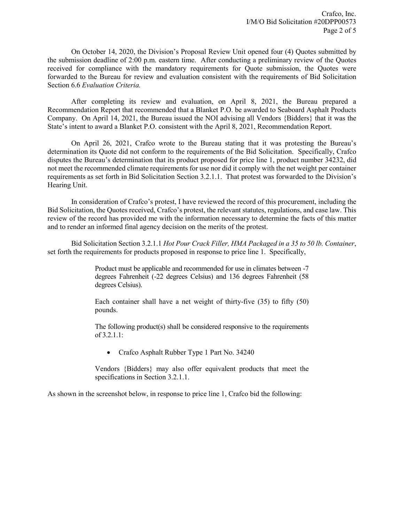On October 14, 2020, the Division's Proposal Review Unit opened four (4) Quotes submitted by the submission deadline of 2:00 p.m. eastern time. After conducting a preliminary review of the Quotes received for compliance with the mandatory requirements for Quote submission, the Quotes were forwarded to the Bureau for review and evaluation consistent with the requirements of Bid Solicitation Section 6.6 *Evaluation Criteria.*

After completing its review and evaluation, on April 8, 2021, the Bureau prepared a Recommendation Report that recommended that a Blanket P.O. be awarded to Seaboard Asphalt Products Company. On April 14, 2021, the Bureau issued the NOI advising all Vendors {Bidders} that it was the State's intent to award a Blanket P.O. consistent with the April 8, 2021, Recommendation Report.

On April 26, 2021, Crafco wrote to the Bureau stating that it was protesting the Bureau's determination its Quote did not conform to the requirements of the Bid Solicitation. Specifically, Crafco disputes the Bureau's determination that its product proposed for price line 1, product number 34232, did not meet the recommended climate requirements for use nor did it comply with the net weight per container requirements as set forth in Bid Solicitation Section 3.2.1.1. That protest was forwarded to the Division's Hearing Unit.

In consideration of Crafco's protest, I have reviewed the record of this procurement, including the Bid Solicitation, the Quotes received, Crafco's protest, the relevant statutes, regulations, and case law. This review of the record has provided me with the information necessary to determine the facts of this matter and to render an informed final agency decision on the merits of the protest.

Bid Solicitation Section 3.2.1.1 *Hot Pour Crack Filler, HMA Packaged in a 35 to 50 lb. Container*, set forth the requirements for products proposed in response to price line 1. Specifically,

> Product must be applicable and recommended for use in climates between -7 degrees Fahrenheit (-22 degrees Celsius) and 136 degrees Fahrenheit (58 degrees Celsius).

> Each container shall have a net weight of thirty-five (35) to fifty (50) pounds.

> The following product(s) shall be considered responsive to the requirements of 3.2.1.1:

• Crafco Asphalt Rubber Type 1 Part No. 34240

Vendors {Bidders} may also offer equivalent products that meet the specifications in Section 3.2.1.1.

As shown in the screenshot below, in response to price line 1, Crafco bid the following: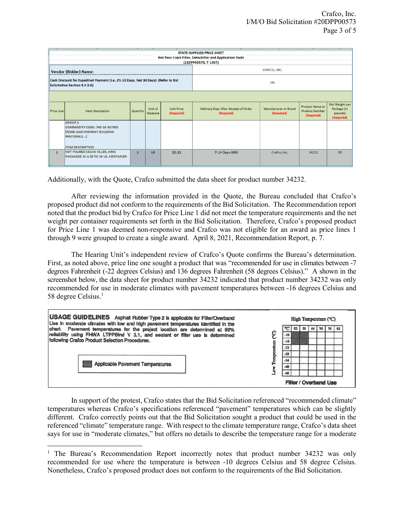| <b>STATE-SUPPLIED PRICE SHEET</b><br>Hot Pour Crack Filler, Detackifier and Application Tools                     |                                                                                                                                      |          |                    |                                 |                                                           |                                            |                                                               |                                                        |  |  |  |
|-------------------------------------------------------------------------------------------------------------------|--------------------------------------------------------------------------------------------------------------------------------------|----------|--------------------|---------------------------------|-----------------------------------------------------------|--------------------------------------------|---------------------------------------------------------------|--------------------------------------------------------|--|--|--|
| (21DPP00573, T-1307)                                                                                              |                                                                                                                                      |          |                    |                                 |                                                           |                                            |                                                               |                                                        |  |  |  |
| <b>Vendor {Bidder} Name:</b>                                                                                      |                                                                                                                                      |          |                    | CRAFCO, INC.                    |                                                           |                                            |                                                               |                                                        |  |  |  |
| Cash Discount for Expedited Payment (i.e. 2% 10 Days, Net 30 Days) (Refer to Bid<br>Solicitation Section 4.4.5.6) |                                                                                                                                      |          |                    |                                 | 0%                                                        |                                            |                                                               |                                                        |  |  |  |
|                                                                                                                   |                                                                                                                                      |          |                    |                                 |                                                           |                                            |                                                               |                                                        |  |  |  |
| <b>Price Line</b>                                                                                                 | <b>Item Description</b>                                                                                                              | Quantity | Unit of<br>Measure | <b>Unit Price</b><br>(Required) | <b>Delivery Days After Receipt of Order</b><br>(Required) | <b>Manufacturer or Brand</b><br>(Required) | <b>Product Name or</b><br><b>Product Number</b><br>(Required) | Net Weight per<br>Package (in<br>pounds)<br>(Required) |  |  |  |
|                                                                                                                   | <b>GROUP 1</b><br><b>COMMODITY CODE: 745-56-067805</b><br><b>[ROAD AND HIGHWAY BUILDING</b><br>MATERIALS]<br><b>ITEM DESCRIPTION</b> |          |                    |                                 |                                                           |                                            |                                                               |                                                        |  |  |  |
|                                                                                                                   | <b>HOT POURED CRACK FILLER, HMA</b><br><b>PACKAGED IN A 35 TO 50 LB. CONTAINER</b>                                                   |          | <b>LB</b>          | \$0.35                          | 7-14 Days ARO                                             | Crafco, Inc.                               | 34232                                                         | 30 <sup>°</sup>                                        |  |  |  |

Additionally, with the Quote, Crafco submitted the data sheet for product number 34232.

After reviewing the information provided in the Quote, the Bureau concluded that Crafco's proposed product did not conform to the requirements of the Bid Solicitation. The Recommendation report noted that the product bid by Crafco for Price Line 1 did not meet the temperature requirements and the net weight per container requirements set forth in the Bid Solicitation. Therefore, Crafco's proposed product for Price Line 1 was deemed non-responsive and Crafco was not eligible for an award as price lines 1 through 9 were grouped to create a single award. April 8, 2021, Recommendation Report, p. 7.

The Hearing Unit's independent review of Crafco's Quote confirms the Bureau's determination. First, as noted above, price line one sought a product that was "recommended for use in climates between -7 degrees Fahrenheit (-22 degrees Celsius) and 136 degrees Fahrenheit (58 degrees Celsius)." A shown in the screenshot below, the data sheet for product number 34232 indicated that product number 34232 was only recommended for use in moderate climates with pavement temperatures between -16 degrees Celsius and 58 degree Celsius.<sup>1</sup>



In support of the protest, Crafco states that the Bid Solicitation referenced "recommended climate" temperatures whereas Crafco's specifications referenced "pavement" temperatures which can be slightly different. Crafco correctly points out that the Bid Solicitation sought a product that could be used in the referenced "climate" temperature range. With respect to the climate temperature range, Crafco's data sheet says for use in "moderate climates," but offers no details to describe the temperature range for a moderate

 $\overline{\phantom{a}}$ 

<span id="page-2-0"></span><sup>&</sup>lt;sup>1</sup> The Bureau's Recommendation Report incorrectly notes that product number 34232 was only recommended for use where the temperature is between -10 degrees Celsius and 58 degree Celsius. Nonetheless, Crafco's proposed product does not conform to the requirements of the Bid Solicitation.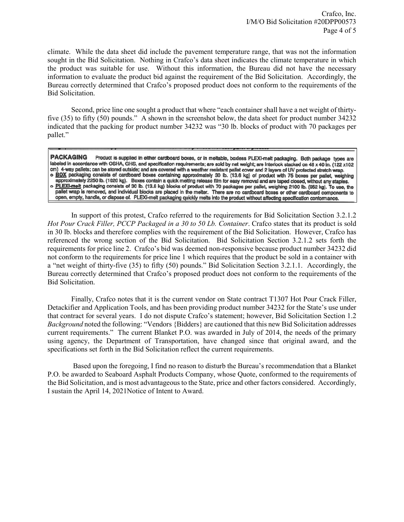climate. While the data sheet did include the pavement temperature range, that was not the information sought in the Bid Solicitation. Nothing in Crafco's data sheet indicates the climate temperature in which the product was suitable for use. Without this information, the Bureau did not have the necessary information to evaluate the product bid against the requirement of the Bid Solicitation. Accordingly, the Bureau correctly determined that Crafco's proposed product does not conform to the requirements of the Bid Solicitation.

Second, price line one sought a product that where "each container shall have a net weight of thirtyfive (35) to fifty (50) pounds." A shown in the screenshot below, the data sheet for product number 34232 indicated that the packing for product number 34232 was "30 lb. blocks of product with 70 packages per pallet."

**PACKAGING** Product is supplied in either cardboard boxes, or in meltable, boxless PLEXI-melt packaging. Both package types are labeled in accordance with OSHA, GHS, and specification requirements; are sold by net weight; are interlock stacked on 48 x 40 in. (122 x102 cm) 4-way pallets; can be stored outside; and are covered with a weather resistant pallet cover and 2 layers of UV protected stretch wrap. o BOX packaging consists of cardboard boxes containing approximately 30 lb. (13.6 kg) of product with 75 boxes per pallet, weighing approximately 2250 lb. (1020 kg). Boxes contain a quick melting release film for easy removal and are taped closed, without any staples. PLEXI-melt packaging consists of 30 lb. (13.6 kg) blocks of product with 70 packages per pallet, weighing 2100 lb. (952 kg). To use, the pallet wrap is removed, and individual blocks are placed in the melter. There are no cardboard boxes or other cardboard components to open, empty, handle, or dispose of. PLEXI-melt packaging quickly melts into the product

In support of this protest, Crafco referred to the requirements for Bid Solicitation Section 3.2.1.2 *Hot Pour Crack Filler, PCCP Packaged in a 30 to 50 Lb. Container*. Crafco states that its product is sold in 30 lb. blocks and therefore complies with the requirement of the Bid Solicitation. However, Crafco has referenced the wrong section of the Bid Solicitation. Bid Solicitation Section 3.2.1.2 sets forth the requirements for price line 2. Crafco's bid was deemed non-responsive because product number 34232 did not conform to the requirements for price line 1 which requires that the product be sold in a container with a "net weight of thirty-five (35) to fifty (50) pounds." Bid Solicitation Section 3.2.1.1. Accordingly, the Bureau correctly determined that Crafco's proposed product does not conform to the requirements of the Bid Solicitation.

Finally, Crafco notes that it is the current vendor on State contract T1307 Hot Pour Crack Filler, Detackifier and Application Tools, and has been providing product number 34232 for the State's use under that contract for several years. I do not dispute Crafco's statement; however, Bid Solicitation Section 1.2 *Background* noted the following: "Vendors {Bidders} are cautioned that this new Bid Solicitation addresses current requirements." The current Blanket P.O. was awarded in July of 2014, the needs of the primary using agency, the Department of Transportation, have changed since that original award, and the specifications set forth in the Bid Solicitation reflect the current requirements.

Based upon the foregoing, I find no reason to disturb the Bureau's recommendation that a Blanket P.O. be awarded to Seaboard Asphalt Products Company, whose Quote, conformed to the requirements of the Bid Solicitation, and is most advantageous to the State, price and other factors considered. Accordingly, I sustain the April 14, 2021Notice of Intent to Award.